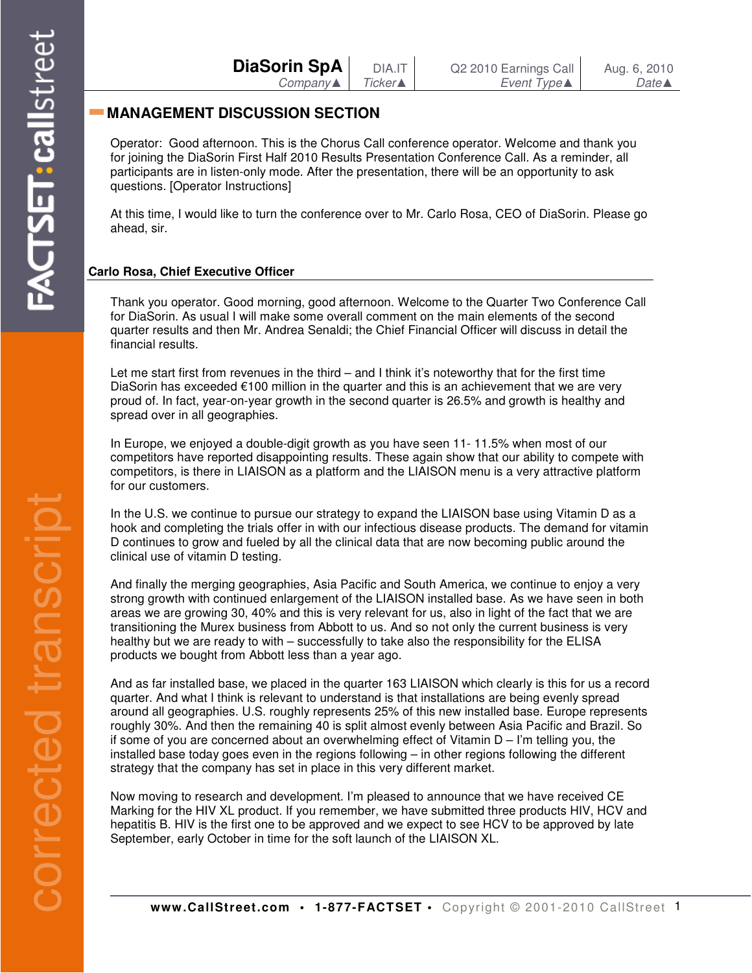| <b>DiaSorin SpA</b> | DIA.IT  | Q2 2010 Earnings Call | Aug. 6, 2010     |
|---------------------|---------|-----------------------|------------------|
| Company▲            | Ticker▲ | <i>Event Type</i> ▲   | $Date \triangle$ |

## **MANAGEMENT DISCUSSION SECTION**

Operator: Good afternoon. This is the Chorus Call conference operator. Welcome and thank you for joining the DiaSorin First Half 2010 Results Presentation Conference Call. As a reminder, all participants are in listen-only mode. After the presentation, there will be an opportunity to ask questions. [Operator Instructions]

At this time, I would like to turn the conference over to Mr. Carlo Rosa, CEO of DiaSorin. Please go ahead, sir.

## **Carlo Rosa, Chief Executive Officer**

Thank you operator. Good morning, good afternoon. Welcome to the Quarter Two Conference Call for DiaSorin. As usual I will make some overall comment on the main elements of the second quarter results and then Mr. Andrea Senaldi; the Chief Financial Officer will discuss in detail the financial results.

Let me start first from revenues in the third – and I think it's noteworthy that for the first time DiaSorin has exceeded €100 million in the quarter and this is an achievement that we are very proud of. In fact, year-on-year growth in the second quarter is 26.5% and growth is healthy and spread over in all geographies.

In Europe, we enjoyed a double-digit growth as you have seen 11- 11.5% when most of our competitors have reported disappointing results. These again show that our ability to compete with competitors, is there in LIAISON as a platform and the LIAISON menu is a very attractive platform for our customers.

In the U.S. we continue to pursue our strategy to expand the LIAISON base using Vitamin D as a hook and completing the trials offer in with our infectious disease products. The demand for vitamin D continues to grow and fueled by all the clinical data that are now becoming public around the clinical use of vitamin D testing.

And finally the merging geographies, Asia Pacific and South America, we continue to enjoy a very strong growth with continued enlargement of the LIAISON installed base. As we have seen in both areas we are growing 30, 40% and this is very relevant for us, also in light of the fact that we are transitioning the Murex business from Abbott to us. And so not only the current business is very healthy but we are ready to with – successfully to take also the responsibility for the ELISA products we bought from Abbott less than a year ago.

And as far installed base, we placed in the quarter 163 LIAISON which clearly is this for us a record quarter. And what I think is relevant to understand is that installations are being evenly spread around all geographies. U.S. roughly represents 25% of this new installed base. Europe represents roughly 30%. And then the remaining 40 is split almost evenly between Asia Pacific and Brazil. So if some of you are concerned about an overwhelming effect of Vitamin D – I'm telling you, the installed base today goes even in the regions following – in other regions following the different strategy that the company has set in place in this very different market.

Now moving to research and development. I'm pleased to announce that we have received CE Marking for the HIV XL product. If you remember, we have submitted three products HIV, HCV and hepatitis B. HIV is the first one to be approved and we expect to see HCV to be approved by late September, early October in time for the soft launch of the LIAISON XL.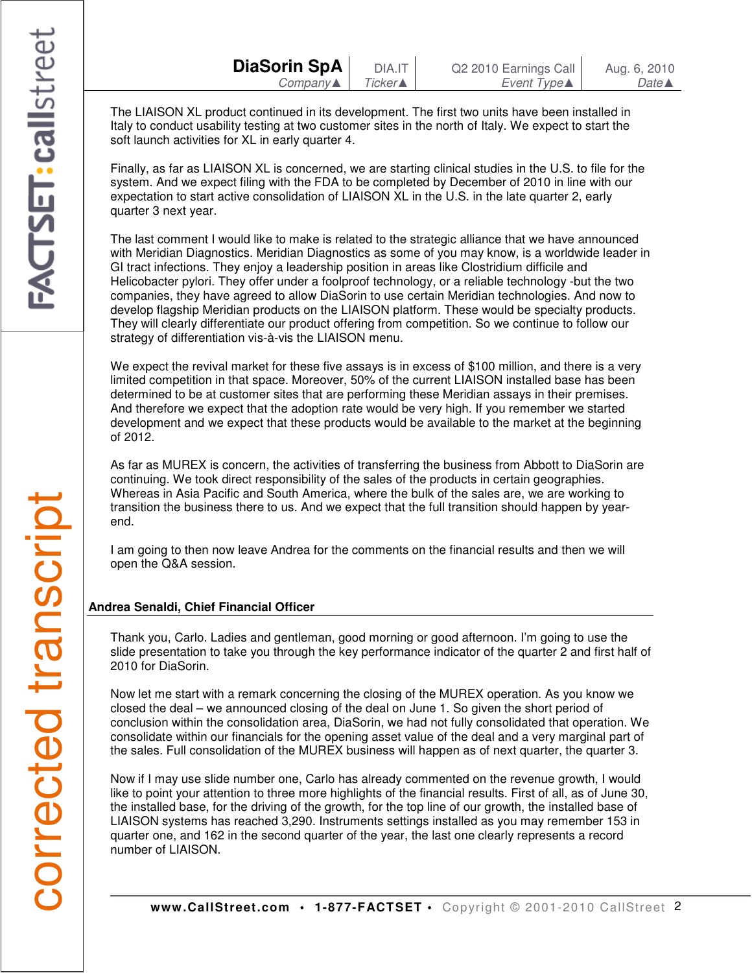The LIAISON XL product continued in its development. The first two units have been installed in Italy to conduct usability testing at two customer sites in the north of Italy. We expect to start the soft launch activities for XL in early quarter 4.

Finally, as far as LIAISON XL is concerned, we are starting clinical studies in the U.S. to file for the system. And we expect filing with the FDA to be completed by December of 2010 in line with our expectation to start active consolidation of LIAISON XL in the U.S. in the late quarter 2, early quarter 3 next year.

The last comment I would like to make is related to the strategic alliance that we have announced with Meridian Diagnostics. Meridian Diagnostics as some of you may know, is a worldwide leader in GI tract infections. They enjoy a leadership position in areas like Clostridium difficile and Helicobacter pylori. They offer under a foolproof technology, or a reliable technology -but the two companies, they have agreed to allow DiaSorin to use certain Meridian technologies. And now to develop flagship Meridian products on the LIAISON platform. These would be specialty products. They will clearly differentiate our product offering from competition. So we continue to follow our strategy of differentiation vis-à-vis the LIAISON menu.

We expect the revival market for these five assays is in excess of \$100 million, and there is a very limited competition in that space. Moreover, 50% of the current LIAISON installed base has been determined to be at customer sites that are performing these Meridian assays in their premises. And therefore we expect that the adoption rate would be very high. If you remember we started development and we expect that these products would be available to the market at the beginning of 2012.

As far as MUREX is concern, the activities of transferring the business from Abbott to DiaSorin are continuing. We took direct responsibility of the sales of the products in certain geographies. Whereas in Asia Pacific and South America, where the bulk of the sales are, we are working to transition the business there to us. And we expect that the full transition should happen by yearend.

I am going to then now leave Andrea for the comments on the financial results and then we will open the Q&A session.

## **Andrea Senaldi, Chief Financial Officer**

Thank you, Carlo. Ladies and gentleman, good morning or good afternoon. I'm going to use the slide presentation to take you through the key performance indicator of the quarter 2 and first half of 2010 for DiaSorin.

Now let me start with a remark concerning the closing of the MUREX operation. As you know we closed the deal – we announced closing of the deal on June 1. So given the short period of conclusion within the consolidation area, DiaSorin, we had not fully consolidated that operation. We consolidate within our financials for the opening asset value of the deal and a very marginal part of the sales. Full consolidation of the MUREX business will happen as of next quarter, the quarter 3.

Now if I may use slide number one, Carlo has already commented on the revenue growth, I would like to point your attention to three more highlights of the financial results. First of all, as of June 30, the installed base, for the driving of the growth, for the top line of our growth, the installed base of LIAISON systems has reached 3,290. Instruments settings installed as you may remember 153 in quarter one, and 162 in the second quarter of the year, the last one clearly represents a record number of LIAISON.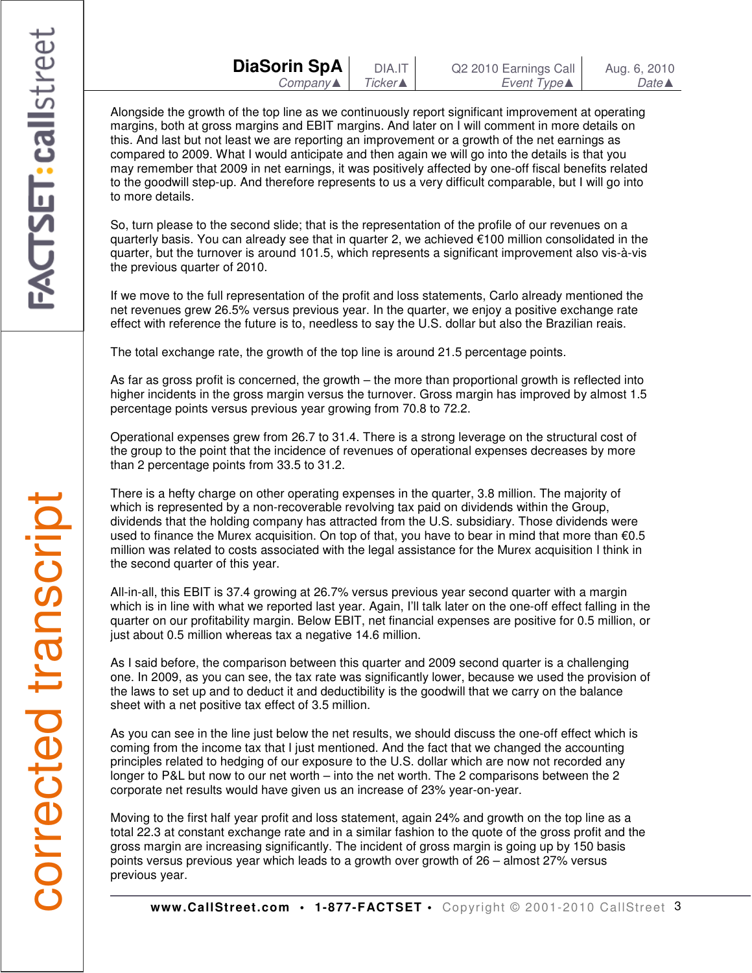| <b>DiaSorin SpA</b> | DIA.IT          | Q2 2010 Earnings Call | Aug. 6, 2010     |
|---------------------|-----------------|-----------------------|------------------|
| Company▲            | <b>Ticker</b> ▲ | Event Type▲           | Date $\triangle$ |

Alongside the growth of the top line as we continuously report significant improvement at operating margins, both at gross margins and EBIT margins. And later on I will comment in more details on this. And last but not least we are reporting an improvement or a growth of the net earnings as compared to 2009. What I would anticipate and then again we will go into the details is that you may remember that 2009 in net earnings, it was positively affected by one-off fiscal benefits related to the goodwill step-up. And therefore represents to us a very difficult comparable, but I will go into to more details.

So, turn please to the second slide; that is the representation of the profile of our revenues on a quarterly basis. You can already see that in quarter 2, we achieved €100 million consolidated in the quarter, but the turnover is around 101.5, which represents a significant improvement also vis-à-vis the previous quarter of 2010.

If we move to the full representation of the profit and loss statements, Carlo already mentioned the net revenues grew 26.5% versus previous year. In the quarter, we enjoy a positive exchange rate effect with reference the future is to, needless to say the U.S. dollar but also the Brazilian reais.

The total exchange rate, the growth of the top line is around 21.5 percentage points.

As far as gross profit is concerned, the growth – the more than proportional growth is reflected into higher incidents in the gross margin versus the turnover. Gross margin has improved by almost 1.5 percentage points versus previous year growing from 70.8 to 72.2.

Operational expenses grew from 26.7 to 31.4. There is a strong leverage on the structural cost of the group to the point that the incidence of revenues of operational expenses decreases by more than 2 percentage points from 33.5 to 31.2.

There is a hefty charge on other operating expenses in the quarter, 3.8 million. The majority of which is represented by a non-recoverable revolving tax paid on dividends within the Group, dividends that the holding company has attracted from the U.S. subsidiary. Those dividends were used to finance the Murex acquisition. On top of that, you have to bear in mind that more than €0.5 million was related to costs associated with the legal assistance for the Murex acquisition I think in the second quarter of this year.

All-in-all, this EBIT is 37.4 growing at 26.7% versus previous year second quarter with a margin which is in line with what we reported last year. Again, I'll talk later on the one-off effect falling in the quarter on our profitability margin. Below EBIT, net financial expenses are positive for 0.5 million, or just about 0.5 million whereas tax a negative 14.6 million.

As I said before, the comparison between this quarter and 2009 second quarter is a challenging one. In 2009, as you can see, the tax rate was significantly lower, because we used the provision of the laws to set up and to deduct it and deductibility is the goodwill that we carry on the balance sheet with a net positive tax effect of 3.5 million.

As you can see in the line just below the net results, we should discuss the one-off effect which is coming from the income tax that I just mentioned. And the fact that we changed the accounting principles related to hedging of our exposure to the U.S. dollar which are now not recorded any longer to P&L but now to our net worth – into the net worth. The 2 comparisons between the 2 corporate net results would have given us an increase of 23% year-on-year.

Moving to the first half year profit and loss statement, again 24% and growth on the top line as a total 22.3 at constant exchange rate and in a similar fashion to the quote of the gross profit and the gross margin are increasing significantly. The incident of gross margin is going up by 150 basis points versus previous year which leads to a growth over growth of 26 – almost 27% versus previous year.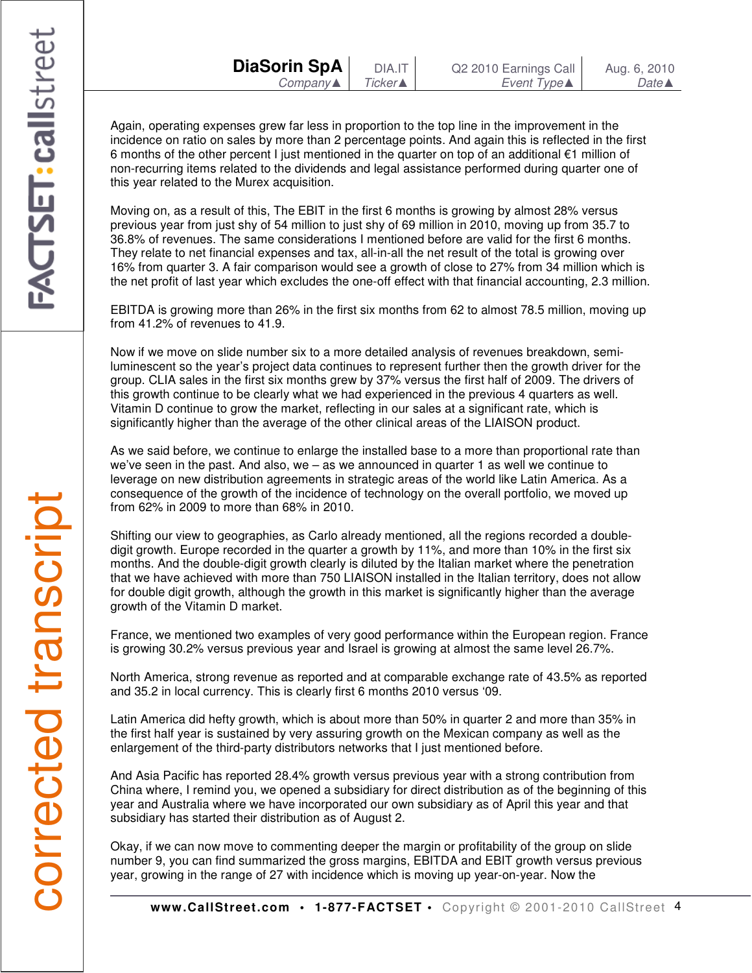Again, operating expenses grew far less in proportion to the top line in the improvement in the incidence on ratio on sales by more than 2 percentage points. And again this is reflected in the first 6 months of the other percent I just mentioned in the quarter on top of an additional €1 million of non-recurring items related to the dividends and legal assistance performed during quarter one of this year related to the Murex acquisition.

Moving on, as a result of this, The EBIT in the first 6 months is growing by almost 28% versus previous year from just shy of 54 million to just shy of 69 million in 2010, moving up from 35.7 to 36.8% of revenues. The same considerations I mentioned before are valid for the first 6 months. They relate to net financial expenses and tax, all-in-all the net result of the total is growing over 16% from quarter 3. A fair comparison would see a growth of close to 27% from 34 million which is the net profit of last year which excludes the one-off effect with that financial accounting, 2.3 million.

EBITDA is growing more than 26% in the first six months from 62 to almost 78.5 million, moving up from 41.2% of revenues to 41.9.

Now if we move on slide number six to a more detailed analysis of revenues breakdown, semiluminescent so the year's project data continues to represent further then the growth driver for the group. CLIA sales in the first six months grew by 37% versus the first half of 2009. The drivers of this growth continue to be clearly what we had experienced in the previous 4 quarters as well. Vitamin D continue to grow the market, reflecting in our sales at a significant rate, which is significantly higher than the average of the other clinical areas of the LIAISON product.

As we said before, we continue to enlarge the installed base to a more than proportional rate than we've seen in the past. And also, we – as we announced in quarter 1 as well we continue to leverage on new distribution agreements in strategic areas of the world like Latin America. As a consequence of the growth of the incidence of technology on the overall portfolio, we moved up from 62% in 2009 to more than 68% in 2010.

Shifting our view to geographies, as Carlo already mentioned, all the regions recorded a doubledigit growth. Europe recorded in the quarter a growth by 11%, and more than 10% in the first six months. And the double-digit growth clearly is diluted by the Italian market where the penetration that we have achieved with more than 750 LIAISON installed in the Italian territory, does not allow for double digit growth, although the growth in this market is significantly higher than the average growth of the Vitamin D market.

France, we mentioned two examples of very good performance within the European region. France is growing 30.2% versus previous year and Israel is growing at almost the same level 26.7%.

North America, strong revenue as reported and at comparable exchange rate of 43.5% as reported and 35.2 in local currency. This is clearly first 6 months 2010 versus '09.

Latin America did hefty growth, which is about more than 50% in quarter 2 and more than 35% in the first half year is sustained by very assuring growth on the Mexican company as well as the enlargement of the third-party distributors networks that I just mentioned before.

And Asia Pacific has reported 28.4% growth versus previous year with a strong contribution from China where, I remind you, we opened a subsidiary for direct distribution as of the beginning of this year and Australia where we have incorporated our own subsidiary as of April this year and that subsidiary has started their distribution as of August 2.

Okay, if we can now move to commenting deeper the margin or profitability of the group on slide number 9, you can find summarized the gross margins, EBITDA and EBIT growth versus previous year, growing in the range of 27 with incidence which is moving up year-on-year. Now the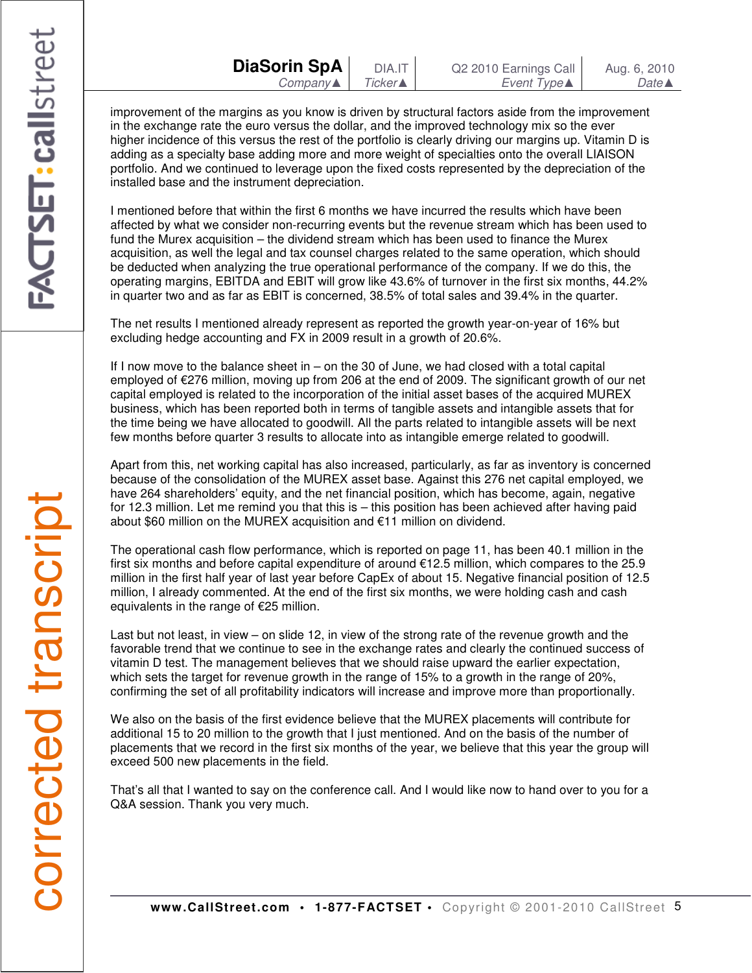improvement of the margins as you know is driven by structural factors aside from the improvement in the exchange rate the euro versus the dollar, and the improved technology mix so the ever higher incidence of this versus the rest of the portfolio is clearly driving our margins up. Vitamin D is adding as a specialty base adding more and more weight of specialties onto the overall LIAISON portfolio. And we continued to leverage upon the fixed costs represented by the depreciation of the installed base and the instrument depreciation.

I mentioned before that within the first 6 months we have incurred the results which have been affected by what we consider non-recurring events but the revenue stream which has been used to fund the Murex acquisition – the dividend stream which has been used to finance the Murex acquisition, as well the legal and tax counsel charges related to the same operation, which should be deducted when analyzing the true operational performance of the company. If we do this, the operating margins, EBITDA and EBIT will grow like 43.6% of turnover in the first six months, 44.2% in quarter two and as far as EBIT is concerned, 38.5% of total sales and 39.4% in the quarter.

The net results I mentioned already represent as reported the growth year-on-year of 16% but excluding hedge accounting and FX in 2009 result in a growth of 20.6%.

If I now move to the balance sheet in – on the 30 of June, we had closed with a total capital employed of €276 million, moving up from 206 at the end of 2009. The significant growth of our net capital employed is related to the incorporation of the initial asset bases of the acquired MUREX business, which has been reported both in terms of tangible assets and intangible assets that for the time being we have allocated to goodwill. All the parts related to intangible assets will be next few months before quarter 3 results to allocate into as intangible emerge related to goodwill.

Apart from this, net working capital has also increased, particularly, as far as inventory is concerned because of the consolidation of the MUREX asset base. Against this 276 net capital employed, we have 264 shareholders' equity, and the net financial position, which has become, again, negative for 12.3 million. Let me remind you that this is – this position has been achieved after having paid about \$60 million on the MUREX acquisition and €11 million on dividend.

The operational cash flow performance, which is reported on page 11, has been 40.1 million in the first six months and before capital expenditure of around €12.5 million, which compares to the 25.9 million in the first half year of last year before CapEx of about 15. Negative financial position of 12.5 million, I already commented. At the end of the first six months, we were holding cash and cash equivalents in the range of €25 million.

Last but not least, in view – on slide 12, in view of the strong rate of the revenue growth and the favorable trend that we continue to see in the exchange rates and clearly the continued success of vitamin D test. The management believes that we should raise upward the earlier expectation, which sets the target for revenue growth in the range of 15% to a growth in the range of 20%, confirming the set of all profitability indicators will increase and improve more than proportionally.

We also on the basis of the first evidence believe that the MUREX placements will contribute for additional 15 to 20 million to the growth that I just mentioned. And on the basis of the number of placements that we record in the first six months of the year, we believe that this year the group will exceed 500 new placements in the field.

That's all that I wanted to say on the conference call. And I would like now to hand over to you for a Q&A session. Thank you very much.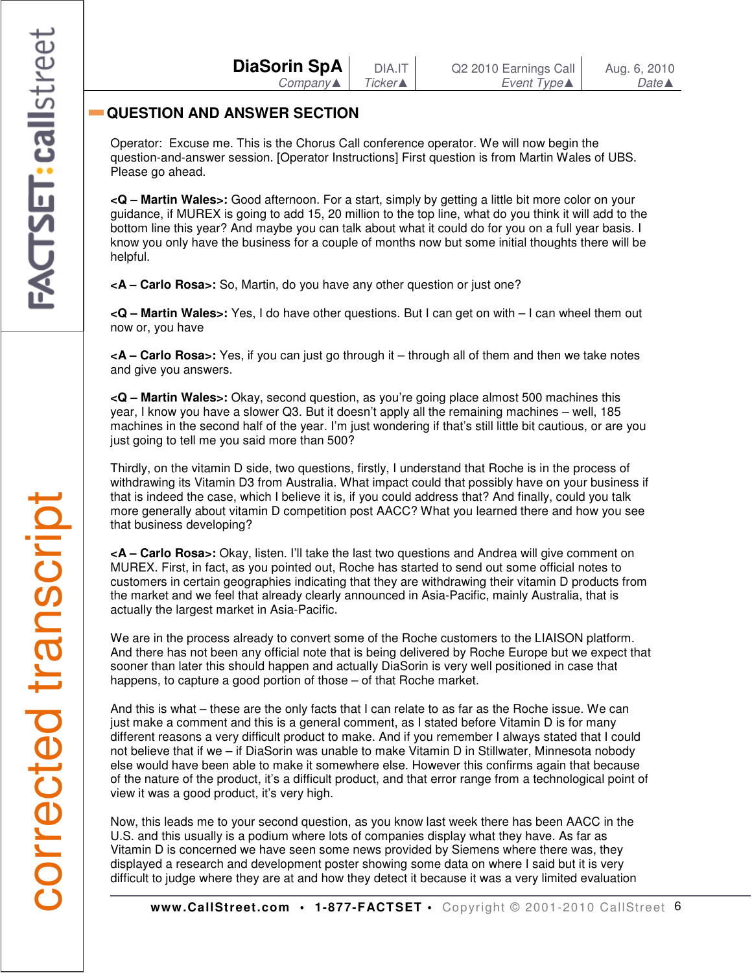| DiaSorin SpA        |  |
|---------------------|--|
| $Company \triangle$ |  |

# **QUESTION AND ANSWER SECTION**

Operator: Excuse me. This is the Chorus Call conference operator. We will now begin the question-and-answer session. [Operator Instructions] First question is from Martin Wales of UBS. Please go ahead.

**<Q – Martin Wales>:** Good afternoon. For a start, simply by getting a little bit more color on your guidance, if MUREX is going to add 15, 20 million to the top line, what do you think it will add to the bottom line this year? And maybe you can talk about what it could do for you on a full year basis. I know you only have the business for a couple of months now but some initial thoughts there will be helpful.

**<A – Carlo Rosa>:** So, Martin, do you have any other question or just one?

**<Q – Martin Wales>:** Yes, I do have other questions. But I can get on with – I can wheel them out now or, you have

**<A – Carlo Rosa>:** Yes, if you can just go through it – through all of them and then we take notes and give you answers.

**<Q – Martin Wales>:** Okay, second question, as you're going place almost 500 machines this year, I know you have a slower Q3. But it doesn't apply all the remaining machines – well, 185 machines in the second half of the year. I'm just wondering if that's still little bit cautious, or are you just going to tell me you said more than 500?

Thirdly, on the vitamin D side, two questions, firstly, I understand that Roche is in the process of withdrawing its Vitamin D3 from Australia. What impact could that possibly have on your business if that is indeed the case, which I believe it is, if you could address that? And finally, could you talk more generally about vitamin D competition post AACC? What you learned there and how you see that business developing?

**<A – Carlo Rosa>:** Okay, listen. I'll take the last two questions and Andrea will give comment on MUREX. First, in fact, as you pointed out, Roche has started to send out some official notes to customers in certain geographies indicating that they are withdrawing their vitamin D products from the market and we feel that already clearly announced in Asia-Pacific, mainly Australia, that is actually the largest market in Asia-Pacific.

We are in the process already to convert some of the Roche customers to the LIAISON platform. And there has not been any official note that is being delivered by Roche Europe but we expect that sooner than later this should happen and actually DiaSorin is very well positioned in case that happens, to capture a good portion of those – of that Roche market.

And this is what – these are the only facts that I can relate to as far as the Roche issue. We can just make a comment and this is a general comment, as I stated before Vitamin D is for many different reasons a very difficult product to make. And if you remember I always stated that I could not believe that if we – if DiaSorin was unable to make Vitamin D in Stillwater, Minnesota nobody else would have been able to make it somewhere else. However this confirms again that because of the nature of the product, it's a difficult product, and that error range from a technological point of view it was a good product, it's very high.

Now, this leads me to your second question, as you know last week there has been AACC in the U.S. and this usually is a podium where lots of companies display what they have. As far as Vitamin D is concerned we have seen some news provided by Siemens where there was, they displayed a research and development poster showing some data on where I said but it is very difficult to judge where they are at and how they detect it because it was a very limited evaluation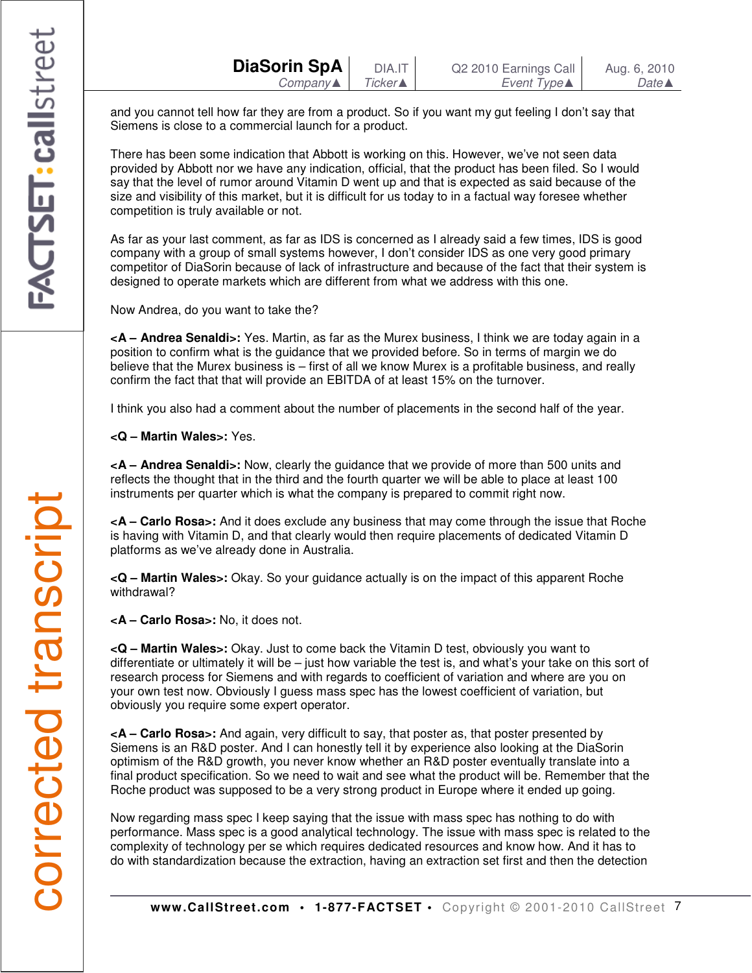and you cannot tell how far they are from a product. So if you want my gut feeling I don't say that Siemens is close to a commercial launch for a product.

There has been some indication that Abbott is working on this. However, we've not seen data provided by Abbott nor we have any indication, official, that the product has been filed. So I would say that the level of rumor around Vitamin D went up and that is expected as said because of the size and visibility of this market, but it is difficult for us today to in a factual way foresee whether competition is truly available or not.

As far as your last comment, as far as IDS is concerned as I already said a few times, IDS is good company with a group of small systems however, I don't consider IDS as one very good primary competitor of DiaSorin because of lack of infrastructure and because of the fact that their system is designed to operate markets which are different from what we address with this one.

Now Andrea, do you want to take the?

**<A – Andrea Senaldi>:** Yes. Martin, as far as the Murex business, I think we are today again in a position to confirm what is the guidance that we provided before. So in terms of margin we do believe that the Murex business is – first of all we know Murex is a profitable business, and really confirm the fact that that will provide an EBITDA of at least 15% on the turnover.

I think you also had a comment about the number of placements in the second half of the year.

**<Q – Martin Wales>:** Yes.

**<A – Andrea Senaldi>:** Now, clearly the guidance that we provide of more than 500 units and reflects the thought that in the third and the fourth quarter we will be able to place at least 100 instruments per quarter which is what the company is prepared to commit right now.

**<A – Carlo Rosa>:** And it does exclude any business that may come through the issue that Roche is having with Vitamin D, and that clearly would then require placements of dedicated Vitamin D platforms as we've already done in Australia.

**<Q – Martin Wales>:** Okay. So your guidance actually is on the impact of this apparent Roche withdrawal?

**<A – Carlo Rosa>:** No, it does not.

**<Q – Martin Wales>:** Okay. Just to come back the Vitamin D test, obviously you want to differentiate or ultimately it will be – just how variable the test is, and what's your take on this sort of research process for Siemens and with regards to coefficient of variation and where are you on your own test now. Obviously I guess mass spec has the lowest coefficient of variation, but obviously you require some expert operator.

**<A – Carlo Rosa>:** And again, very difficult to say, that poster as, that poster presented by Siemens is an R&D poster. And I can honestly tell it by experience also looking at the DiaSorin optimism of the R&D growth, you never know whether an R&D poster eventually translate into a final product specification. So we need to wait and see what the product will be. Remember that the Roche product was supposed to be a very strong product in Europe where it ended up going.

Now regarding mass spec I keep saying that the issue with mass spec has nothing to do with performance. Mass spec is a good analytical technology. The issue with mass spec is related to the complexity of technology per se which requires dedicated resources and know how. And it has to do with standardization because the extraction, having an extraction set first and then the detection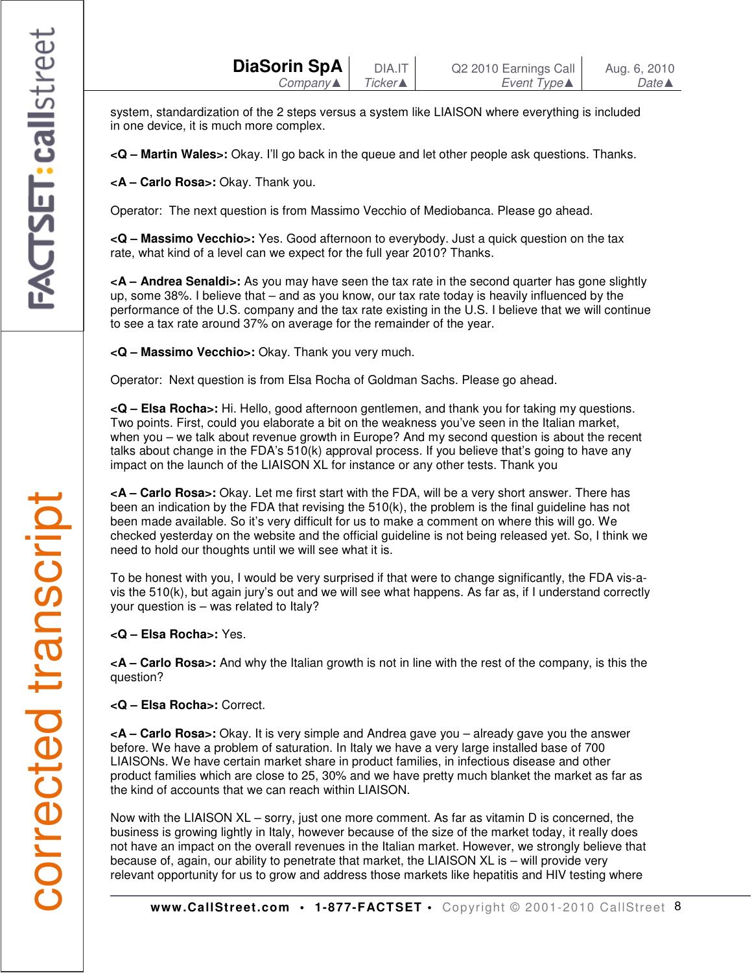system, standardization of the 2 steps versus a system like LIAISON where everything is included in one device, it is much more complex.

**<Q – Martin Wales>:** Okay. I'll go back in the queue and let other people ask questions. Thanks.

**<A – Carlo Rosa>:** Okay. Thank you.

Operator: The next question is from Massimo Vecchio of Mediobanca. Please go ahead.

**<Q – Massimo Vecchio>:** Yes. Good afternoon to everybody. Just a quick question on the tax rate, what kind of a level can we expect for the full year 2010? Thanks.

**<A – Andrea Senaldi>:** As you may have seen the tax rate in the second quarter has gone slightly up, some 38%. I believe that – and as you know, our tax rate today is heavily influenced by the performance of the U.S. company and the tax rate existing in the U.S. I believe that we will continue to see a tax rate around 37% on average for the remainder of the year.

**<Q – Massimo Vecchio>:** Okay. Thank you very much.

Operator: Next question is from Elsa Rocha of Goldman Sachs. Please go ahead.

**<Q – Elsa Rocha>:** Hi. Hello, good afternoon gentlemen, and thank you for taking my questions. Two points. First, could you elaborate a bit on the weakness you've seen in the Italian market, when you – we talk about revenue growth in Europe? And my second question is about the recent talks about change in the FDA's 510(k) approval process. If you believe that's going to have any impact on the launch of the LIAISON XL for instance or any other tests. Thank you

**<A – Carlo Rosa>:** Okay. Let me first start with the FDA, will be a very short answer. There has been an indication by the FDA that revising the 510(k), the problem is the final guideline has not been made available. So it's very difficult for us to make a comment on where this will go. We checked yesterday on the website and the official guideline is not being released yet. So, I think we need to hold our thoughts until we will see what it is.

To be honest with you, I would be very surprised if that were to change significantly, the FDA vis-avis the 510(k), but again jury's out and we will see what happens. As far as, if I understand correctly your question is – was related to Italy?

**<Q – Elsa Rocha>:** Yes.

**<A – Carlo Rosa>:** And why the Italian growth is not in line with the rest of the company, is this the question?

**<Q – Elsa Rocha>:** Correct.

**<A – Carlo Rosa>:** Okay. It is very simple and Andrea gave you – already gave you the answer before. We have a problem of saturation. In Italy we have a very large installed base of 700 LIAISONs. We have certain market share in product families, in infectious disease and other product families which are close to 25, 30% and we have pretty much blanket the market as far as the kind of accounts that we can reach within LIAISON.

Now with the LIAISON XL – sorry, just one more comment. As far as vitamin D is concerned, the business is growing lightly in Italy, however because of the size of the market today, it really does not have an impact on the overall revenues in the Italian market. However, we strongly believe that because of, again, our ability to penetrate that market, the LIAISON XL is – will provide very relevant opportunity for us to grow and address those markets like hepatitis and HIV testing where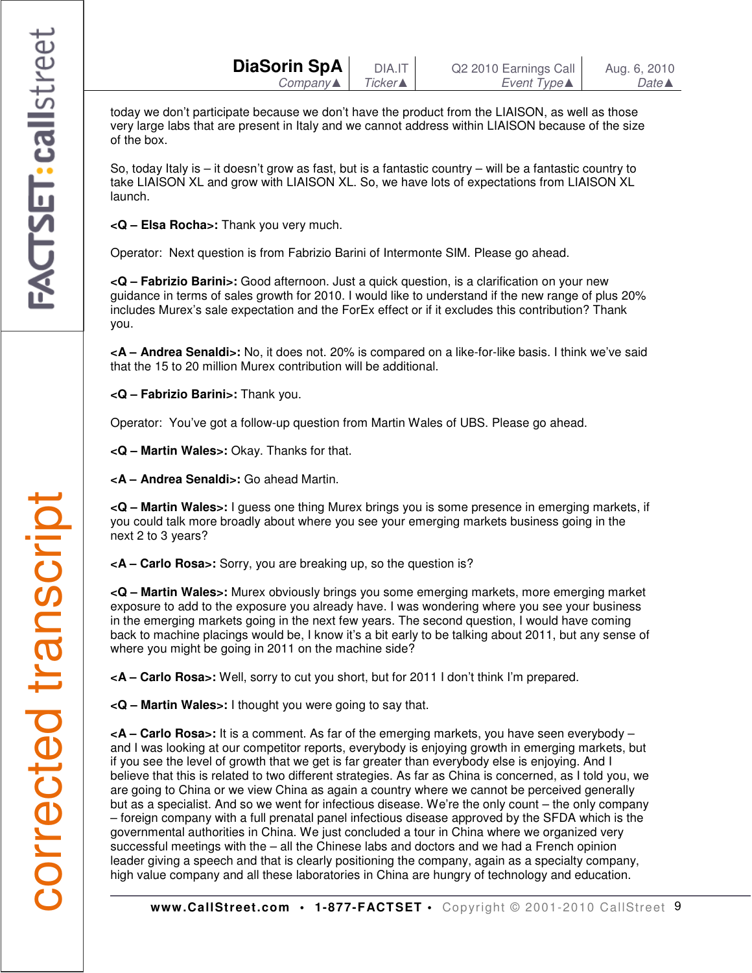| DiaSorin SpA | DIA.IT          | Q2 2010 Earnings Call | Aug. 6, 2010     |
|--------------|-----------------|-----------------------|------------------|
| Company▲     | <b>Ticker</b> ▲ | Event Type▲           | $Date \triangle$ |

today we don't participate because we don't have the product from the LIAISON, as well as those very large labs that are present in Italy and we cannot address within LIAISON because of the size of the box.

So, today Italy is – it doesn't grow as fast, but is a fantastic country – will be a fantastic country to take LIAISON XL and grow with LIAISON XL. So, we have lots of expectations from LIAISON XL launch.

**<Q – Elsa Rocha>:** Thank you very much.

Operator: Next question is from Fabrizio Barini of Intermonte SIM. Please go ahead.

**<Q – Fabrizio Barini>:** Good afternoon. Just a quick question, is a clarification on your new guidance in terms of sales growth for 2010. I would like to understand if the new range of plus 20% includes Murex's sale expectation and the ForEx effect or if it excludes this contribution? Thank you.

**<A – Andrea Senaldi>:** No, it does not. 20% is compared on a like-for-like basis. I think we've said that the 15 to 20 million Murex contribution will be additional.

**<Q – Fabrizio Barini>:** Thank you.

Operator: You've got a follow-up question from Martin Wales of UBS. Please go ahead.

**<Q – Martin Wales>:** Okay. Thanks for that.

**<A – Andrea Senaldi>:** Go ahead Martin.

**<Q – Martin Wales>:** I guess one thing Murex brings you is some presence in emerging markets, if you could talk more broadly about where you see your emerging markets business going in the next 2 to 3 years?

**<A – Carlo Rosa>:** Sorry, you are breaking up, so the question is?

**<Q – Martin Wales>:** Murex obviously brings you some emerging markets, more emerging market exposure to add to the exposure you already have. I was wondering where you see your business in the emerging markets going in the next few years. The second question, I would have coming back to machine placings would be, I know it's a bit early to be talking about 2011, but any sense of where you might be going in 2011 on the machine side?

**<A – Carlo Rosa>:** Well, sorry to cut you short, but for 2011 I don't think I'm prepared.

**<Q – Martin Wales>:** I thought you were going to say that.

**<A – Carlo Rosa>:** It is a comment. As far of the emerging markets, you have seen everybody – and I was looking at our competitor reports, everybody is enjoying growth in emerging markets, but if you see the level of growth that we get is far greater than everybody else is enjoying. And I believe that this is related to two different strategies. As far as China is concerned, as I told you, we are going to China or we view China as again a country where we cannot be perceived generally but as a specialist. And so we went for infectious disease. We're the only count – the only company – foreign company with a full prenatal panel infectious disease approved by the SFDA which is the governmental authorities in China. We just concluded a tour in China where we organized very successful meetings with the – all the Chinese labs and doctors and we had a French opinion leader giving a speech and that is clearly positioning the company, again as a specialty company, high value company and all these laboratories in China are hungry of technology and education.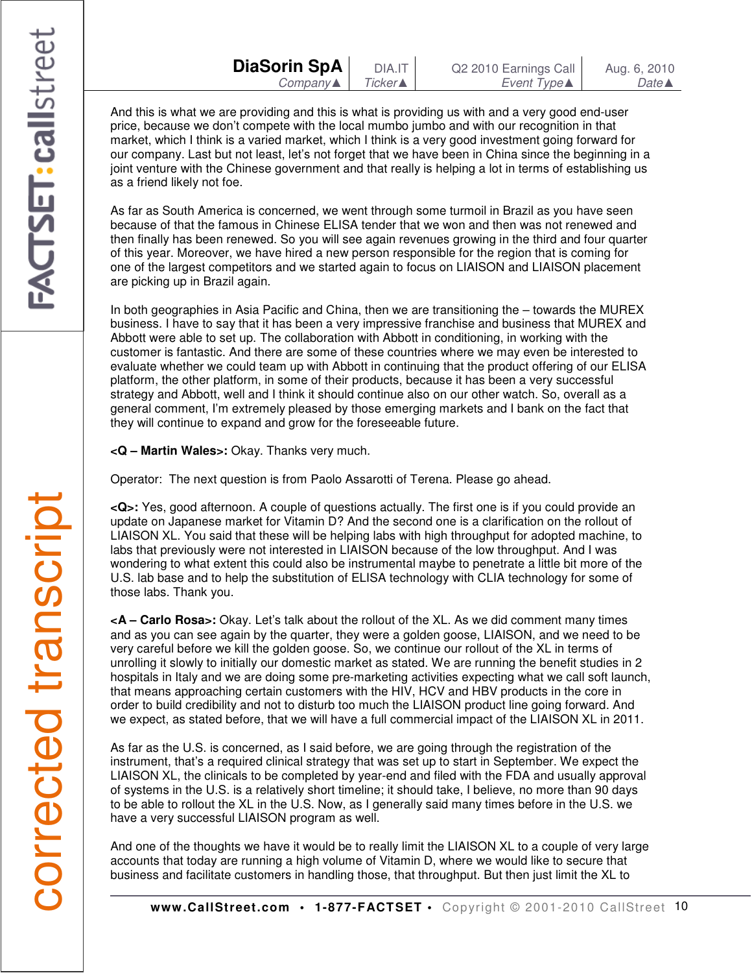And this is what we are providing and this is what is providing us with and a very good end-user price, because we don't compete with the local mumbo jumbo and with our recognition in that market, which I think is a varied market, which I think is a very good investment going forward for our company. Last but not least, let's not forget that we have been in China since the beginning in a joint venture with the Chinese government and that really is helping a lot in terms of establishing us as a friend likely not foe.

As far as South America is concerned, we went through some turmoil in Brazil as you have seen because of that the famous in Chinese ELISA tender that we won and then was not renewed and then finally has been renewed. So you will see again revenues growing in the third and four quarter of this year. Moreover, we have hired a new person responsible for the region that is coming for one of the largest competitors and we started again to focus on LIAISON and LIAISON placement are picking up in Brazil again.

In both geographies in Asia Pacific and China, then we are transitioning the – towards the MUREX business. I have to say that it has been a very impressive franchise and business that MUREX and Abbott were able to set up. The collaboration with Abbott in conditioning, in working with the customer is fantastic. And there are some of these countries where we may even be interested to evaluate whether we could team up with Abbott in continuing that the product offering of our ELISA platform, the other platform, in some of their products, because it has been a very successful strategy and Abbott, well and I think it should continue also on our other watch. So, overall as a general comment, I'm extremely pleased by those emerging markets and I bank on the fact that they will continue to expand and grow for the foreseeable future.

**<Q – Martin Wales>:** Okay. Thanks very much.

Operator: The next question is from Paolo Assarotti of Terena. Please go ahead.

**<Q>:** Yes, good afternoon. A couple of questions actually. The first one is if you could provide an update on Japanese market for Vitamin D? And the second one is a clarification on the rollout of LIAISON XL. You said that these will be helping labs with high throughput for adopted machine, to labs that previously were not interested in LIAISON because of the low throughput. And I was wondering to what extent this could also be instrumental maybe to penetrate a little bit more of the U.S. lab base and to help the substitution of ELISA technology with CLIA technology for some of those labs. Thank you.

**<A – Carlo Rosa>:** Okay. Let's talk about the rollout of the XL. As we did comment many times and as you can see again by the quarter, they were a golden goose, LIAISON, and we need to be very careful before we kill the golden goose. So, we continue our rollout of the XL in terms of unrolling it slowly to initially our domestic market as stated. We are running the benefit studies in 2 hospitals in Italy and we are doing some pre-marketing activities expecting what we call soft launch, that means approaching certain customers with the HIV, HCV and HBV products in the core in order to build credibility and not to disturb too much the LIAISON product line going forward. And we expect, as stated before, that we will have a full commercial impact of the LIAISON XL in 2011.

As far as the U.S. is concerned, as I said before, we are going through the registration of the instrument, that's a required clinical strategy that was set up to start in September. We expect the LIAISON XL, the clinicals to be completed by year-end and filed with the FDA and usually approval of systems in the U.S. is a relatively short timeline; it should take, I believe, no more than 90 days to be able to rollout the XL in the U.S. Now, as I generally said many times before in the U.S. we have a very successful LIAISON program as well.

And one of the thoughts we have it would be to really limit the LIAISON XL to a couple of very large accounts that today are running a high volume of Vitamin D, where we would like to secure that business and facilitate customers in handling those, that throughput. But then just limit the XL to